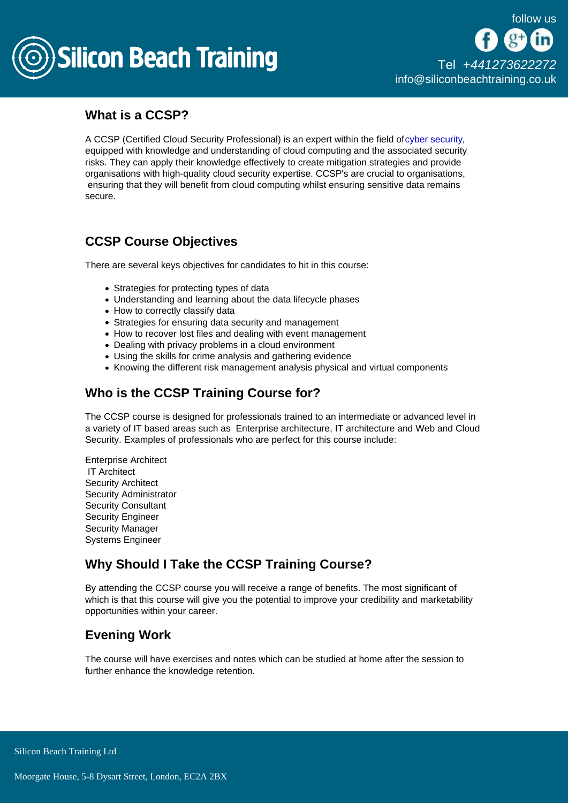

### What is a CCSP?

A CCSP (Certified Cloud Security Professional) is an expert within the field of [cyber security,](/cyber-security) equipped with knowledge and understanding of cloud computing and the associated security risks. They can apply their knowledge effectively to create mitigation strategies and provide organisations with high-quality cloud security expertise. CCSP's are crucial to organisations, ensuring that they will benefit from cloud computing whilst ensuring sensitive data remains secure.

# CCSP Course Objectives

There are several keys objectives for candidates to hit in this course:

- Strategies for protecting types of data
- Understanding and learning about the data lifecycle phases
- How to correctly classify data
- Strategies for ensuring data security and management
- How to recover lost files and dealing with event management
- Dealing with privacy problems in a cloud environment
- Using the skills for crime analysis and gathering evidence
- Knowing the different risk management analysis physical and virtual components

# Who is the CCSP Training Course for?

The CCSP course is designed for professionals trained to an intermediate or advanced level in a variety of IT based areas such as Enterprise architecture, IT architecture and Web and Cloud Security. Examples of professionals who are perfect for this course include:

Enterprise Architect IT Architect Security Architect Security Administrator Security Consultant Security Engineer Security Manager Systems Engineer

# Why Should I Take the CCSP Training Course?

By attending the CCSP course you will receive a range of benefits. The most significant of which is that this course will give you the potential to improve your credibility and marketability opportunities within your career.

# Evening Work

The course will have exercises and notes which can be studied at home after the session to further enhance the knowledge retention.

Silicon Beach Training Ltd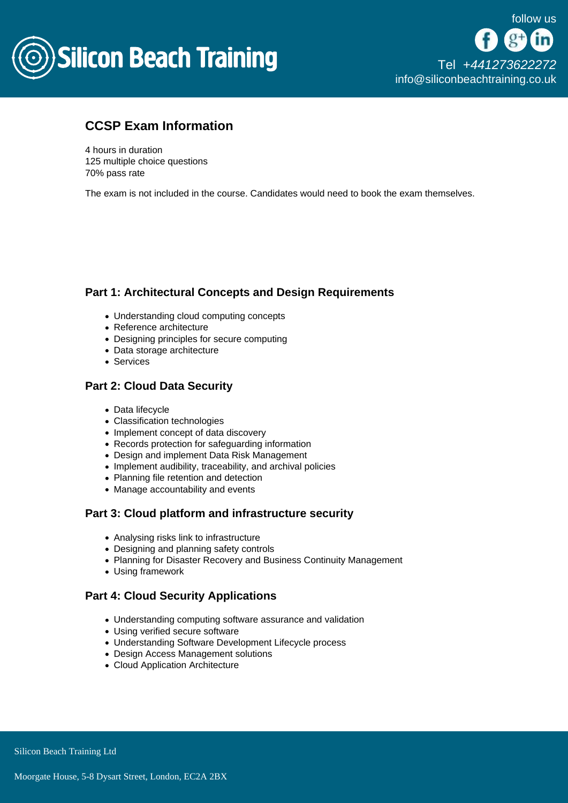

### CCSP Exam Information

4 hours in duration 125 multiple choice questions 70% pass rate

The exam is not included in the course. Candidates would need to book the exam themselves.

### Part 1: Architectural Concepts and Design Requirements

- Understanding cloud computing concepts
- Reference architecture
- Designing principles for secure computing
- Data storage architecture
- Services

#### Part 2: Cloud Data Security

- Data lifecycle
- Classification technologies
- Implement concept of data discovery
- Records protection for safeguarding information
- Design and implement Data Risk Management
- Implement audibility, traceability, and archival policies
- Planning file retention and detection
- Manage accountability and events

### Part 3: Cloud platform and infrastructure security

- Analysing risks link to infrastructure
- Designing and planning safety controls
- Planning for Disaster Recovery and Business Continuity Management
- Using framework

### Part 4: Cloud Security Applications

- Understanding computing software assurance and validation
- Using verified secure software
- Understanding Software Development Lifecycle process
- Design Access Management solutions
- Cloud Application Architecture

Silicon Beach Training Ltd